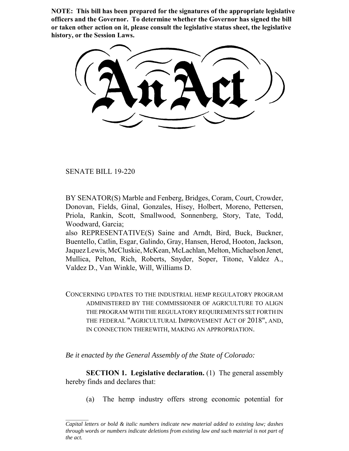**NOTE: This bill has been prepared for the signatures of the appropriate legislative officers and the Governor. To determine whether the Governor has signed the bill or taken other action on it, please consult the legislative status sheet, the legislative history, or the Session Laws.**

SENATE BILL 19-220

BY SENATOR(S) Marble and Fenberg, Bridges, Coram, Court, Crowder, Donovan, Fields, Ginal, Gonzales, Hisey, Holbert, Moreno, Pettersen, Priola, Rankin, Scott, Smallwood, Sonnenberg, Story, Tate, Todd, Woodward, Garcia;

also REPRESENTATIVE(S) Saine and Arndt, Bird, Buck, Buckner, Buentello, Catlin, Esgar, Galindo, Gray, Hansen, Herod, Hooton, Jackson, Jaquez Lewis, McCluskie, McKean, McLachlan, Melton, Michaelson Jenet, Mullica, Pelton, Rich, Roberts, Snyder, Soper, Titone, Valdez A., Valdez D., Van Winkle, Will, Williams D.

CONCERNING UPDATES TO THE INDUSTRIAL HEMP REGULATORY PROGRAM ADMINISTERED BY THE COMMISSIONER OF AGRICULTURE TO ALIGN THE PROGRAM WITH THE REGULATORY REQUIREMENTS SET FORTH IN THE FEDERAL "AGRICULTURAL IMPROVEMENT ACT OF 2018", AND, IN CONNECTION THEREWITH, MAKING AN APPROPRIATION.

*Be it enacted by the General Assembly of the State of Colorado:*

**SECTION 1. Legislative declaration.** (1) The general assembly hereby finds and declares that:

(a) The hemp industry offers strong economic potential for

*Capital letters or bold & italic numbers indicate new material added to existing law; dashes through words or numbers indicate deletions from existing law and such material is not part of the act.*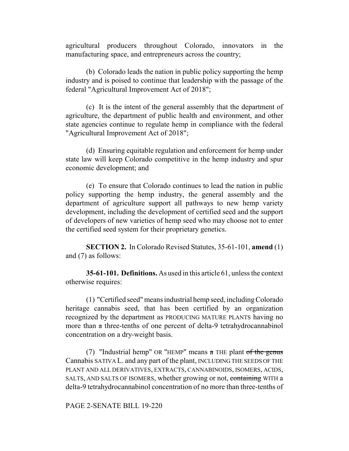agricultural producers throughout Colorado, innovators in the manufacturing space, and entrepreneurs across the country;

(b) Colorado leads the nation in public policy supporting the hemp industry and is poised to continue that leadership with the passage of the federal "Agricultural Improvement Act of 2018";

(c) It is the intent of the general assembly that the department of agriculture, the department of public health and environment, and other state agencies continue to regulate hemp in compliance with the federal "Agricultural Improvement Act of 2018";

(d) Ensuring equitable regulation and enforcement for hemp under state law will keep Colorado competitive in the hemp industry and spur economic development; and

(e) To ensure that Colorado continues to lead the nation in public policy supporting the hemp industry, the general assembly and the department of agriculture support all pathways to new hemp variety development, including the development of certified seed and the support of developers of new varieties of hemp seed who may choose not to enter the certified seed system for their proprietary genetics.

**SECTION 2.** In Colorado Revised Statutes, 35-61-101, **amend** (1) and (7) as follows:

**35-61-101. Definitions.** As used in this article 61, unless the context otherwise requires:

(1) "Certified seed" means industrial hemp seed, including Colorado heritage cannabis seed, that has been certified by an organization recognized by the department as PRODUCING MATURE PLANTS having no more than a three-tenths of one percent of delta-9 tetrahydrocannabinol concentration on a dry-weight basis.

(7) "Industrial hemp" OR "HEMP" means  $\alpha$  THE plant of the genus Cannabis SATIVA L. and any part of the plant, INCLUDING THE SEEDS OF THE PLANT AND ALL DERIVATIVES, EXTRACTS, CANNABINOIDS, ISOMERS, ACIDS, SALTS, AND SALTS OF ISOMERS, whether growing or not, containing WITH a delta-9 tetrahydrocannabinol concentration of no more than three-tenths of

## PAGE 2-SENATE BILL 19-220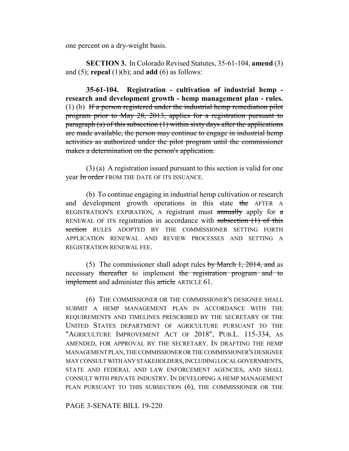one percent on a dry-weight basis.

**SECTION 3.** In Colorado Revised Statutes, 35-61-104, **amend** (3) and (5); **repeal** (1)(b); and **add** (6) as follows:

**35-61-104. Registration - cultivation of industrial hemp research and development growth - hemp management plan - rules.**  $(1)$  (b) If a person registered under the industrial hemp remediation pilot program prior to May 28, 2013, applies for a registration pursuant to paragraph (a) of this subsection  $(1)$  within sixty days after the applications are made available, the person may continue to engage in industrial hemp activities as authorized under the pilot program until the commissioner makes a determination on the person's application.

(3) (a) A registration issued pursuant to this section is valid for one year In order FROM THE DATE OF ITS ISSUANCE.

(b) To continue engaging in industrial hemp cultivation or research and development growth operations in this state the AFTER A REGISTRATION'S EXPIRATION, A registrant must annually apply for a RENEWAL OF ITS registration in accordance with subsection  $(1)$  of this section RULES ADOPTED BY THE COMMISSIONER SETTING FORTH APPLICATION RENEWAL AND REVIEW PROCESSES AND SETTING A REGISTRATION RENEWAL FEE.

(5) The commissioner shall adopt rules by March 1,  $2014$ , and as necessary thereafter to implement the registration program and to **implement** and administer this article ARTICLE 61.

(6) THE COMMISSIONER OR THE COMMISSIONER'S DESIGNEE SHALL SUBMIT A HEMP MANAGEMENT PLAN IN ACCORDANCE WITH THE REQUIREMENTS AND TIMELINES PRESCRIBED BY THE SECRETARY OF THE UNITED STATES DEPARTMENT OF AGRICULTURE PURSUANT TO THE "AGRICULTURE IMPROVEMENT ACT OF 2018", PUB.L. 115-334, AS AMENDED, FOR APPROVAL BY THE SECRETARY. IN DRAFTING THE HEMP MANAGEMENT PLAN, THE COMMISSIONER OR THE COMMISSIONER'S DESIGNEE MAY CONSULT WITH ANY STAKEHOLDERS, INCLUDING LOCAL GOVERNMENTS, STATE AND FEDERAL AND LAW ENFORCEMENT AGENCIES, AND SHALL CONSULT WITH PRIVATE INDUSTRY. IN DEVELOPING A HEMP MANAGEMENT PLAN PURSUANT TO THIS SUBSECTION (6), THE COMMISSIONER OR THE

## PAGE 3-SENATE BILL 19-220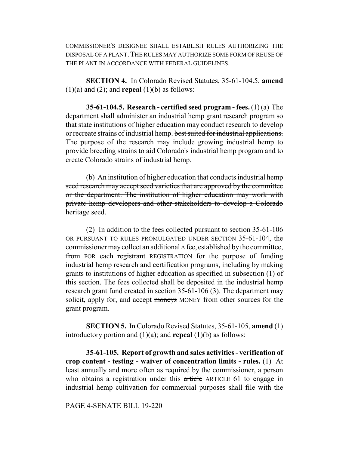COMMISSIONER'S DESIGNEE SHALL ESTABLISH RULES AUTHORIZING THE DISPOSAL OF A PLANT.THE RULES MAY AUTHORIZE SOME FORM OF REUSE OF THE PLANT IN ACCORDANCE WITH FEDERAL GUIDELINES.

**SECTION 4.** In Colorado Revised Statutes, 35-61-104.5, **amend**  $(1)(a)$  and  $(2)$ ; and **repeal**  $(1)(b)$  as follows:

**35-61-104.5. Research - certified seed program - fees.** (1) (a) The department shall administer an industrial hemp grant research program so that state institutions of higher education may conduct research to develop or recreate strains of industrial hemp. best suited for industrial applications. The purpose of the research may include growing industrial hemp to provide breeding strains to aid Colorado's industrial hemp program and to create Colorado strains of industrial hemp.

(b) An institution of higher education that conducts industrial hemp seed research may accept seed varieties that are approved by the committee or the department. The institution of higher education may work with private hemp developers and other stakeholders to develop a Colorado heritage seed.

(2) In addition to the fees collected pursuant to section 35-61-106 OR PURSUANT TO RULES PROMULGATED UNDER SECTION 35-61-104, the commissioner may collect an additional A fee, established by the committee, from FOR each registrant REGISTRATION for the purpose of funding industrial hemp research and certification programs, including by making grants to institutions of higher education as specified in subsection (1) of this section. The fees collected shall be deposited in the industrial hemp research grant fund created in section 35-61-106 (3). The department may solicit, apply for, and accept moneys MONEY from other sources for the grant program.

**SECTION 5.** In Colorado Revised Statutes, 35-61-105, **amend** (1) introductory portion and (1)(a); and **repeal** (1)(b) as follows:

**35-61-105. Report of growth and sales activities - verification of crop content - testing - waiver of concentration limits - rules.** (1) At least annually and more often as required by the commissioner, a person who obtains a registration under this article ARTICLE 61 to engage in industrial hemp cultivation for commercial purposes shall file with the

PAGE 4-SENATE BILL 19-220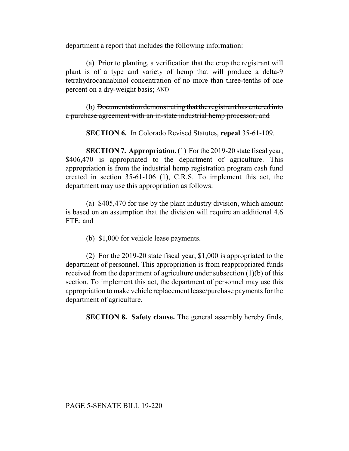department a report that includes the following information:

(a) Prior to planting, a verification that the crop the registrant will plant is of a type and variety of hemp that will produce a delta-9 tetrahydrocannabinol concentration of no more than three-tenths of one percent on a dry-weight basis; AND

(b) Documentation demonstrating that the registrant has entered into a purchase agreement with an in-state industrial hemp processor; and

**SECTION 6.** In Colorado Revised Statutes, **repeal** 35-61-109.

**SECTION 7. Appropriation.** (1) For the 2019-20 state fiscal year, \$406,470 is appropriated to the department of agriculture. This appropriation is from the industrial hemp registration program cash fund created in section 35-61-106 (1), C.R.S. To implement this act, the department may use this appropriation as follows:

(a) \$405,470 for use by the plant industry division, which amount is based on an assumption that the division will require an additional 4.6 FTE; and

(b) \$1,000 for vehicle lease payments.

(2) For the 2019-20 state fiscal year, \$1,000 is appropriated to the department of personnel. This appropriation is from reappropriated funds received from the department of agriculture under subsection (1)(b) of this section. To implement this act, the department of personnel may use this appropriation to make vehicle replacement lease/purchase payments for the department of agriculture.

**SECTION 8. Safety clause.** The general assembly hereby finds,